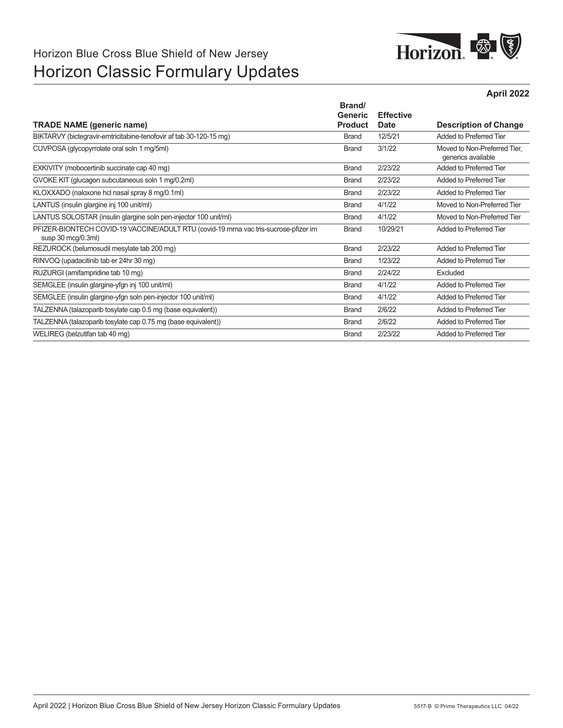# Horizon Blue Cross Blue Shield of New Jersey Horizon Classic Formulary Updates



**April 2022**

| Brand/         |                |                                                    |
|----------------|----------------|----------------------------------------------------|
| <b>Product</b> | Date           | <b>Description of Change</b>                       |
| <b>Brand</b>   | 12/5/21        | Added to Preferred Tier                            |
| <b>Brand</b>   | 3/1/22         | Moved to Non-Preferred Tier.<br>generics available |
| <b>Brand</b>   | 2/23/22        | Added to Preferred Tier                            |
| <b>Brand</b>   | 2/23/22        | Added to Preferred Tier                            |
| <b>Brand</b>   | 2/23/22        | Added to Preferred Tier                            |
| <b>Brand</b>   | 4/1/22         | Moved to Non-Preferred Tier                        |
| <b>Brand</b>   | 4/1/22         | Moved to Non-Preferred Tier                        |
| <b>Brand</b>   | 10/29/21       | Added to Preferred Tier                            |
| <b>Brand</b>   | 2/23/22        | Added to Preferred Tier                            |
| <b>Brand</b>   | 1/23/22        | Added to Preferred Tier                            |
| <b>Brand</b>   | 2/24/22        | Excluded                                           |
| <b>Brand</b>   | 4/1/22         | Added to Preferred Tier                            |
| <b>Brand</b>   | 4/1/22         | Added to Preferred Tier                            |
| <b>Brand</b>   | 2/6/22         | Added to Preferred Tier                            |
| <b>Brand</b>   | 2/6/22         | Added to Preferred Tier                            |
| <b>Brand</b>   | 2/23/22        | Added to Preferred Tier                            |
|                | <b>Generic</b> | <b>Effective</b>                                   |